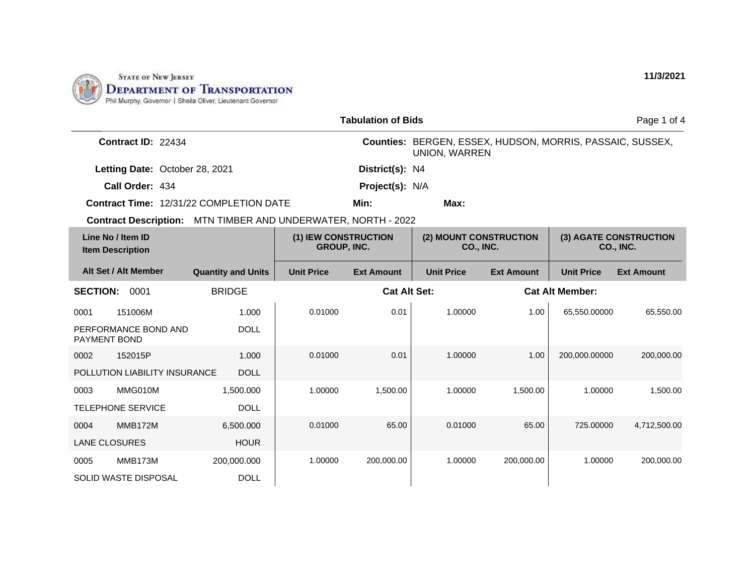

| <b>Tabulation of Bids</b><br>Page 1 of 4       |                                         |                                                                            |                     |                                                                                   |                   |                        |                   |
|------------------------------------------------|-----------------------------------------|----------------------------------------------------------------------------|---------------------|-----------------------------------------------------------------------------------|-------------------|------------------------|-------------------|
| Contract ID: 22434                             |                                         |                                                                            |                     | Counties: BERGEN, ESSEX, HUDSON, MORRIS, PASSAIC, SUSSEX,<br><b>UNION, WARREN</b> |                   |                        |                   |
| Letting Date: October 28, 2021                 |                                         |                                                                            | District(s): N4     |                                                                                   |                   |                        |                   |
| Call Order: 434                                |                                         |                                                                            | Project(s): N/A     |                                                                                   |                   |                        |                   |
| <b>Contract Time: 12/31/22 COMPLETION DATE</b> |                                         |                                                                            | Min:                | Max:                                                                              |                   |                        |                   |
| <b>Contract Description:</b>                   | MTN TIMBER AND UNDERWATER, NORTH - 2022 |                                                                            |                     |                                                                                   |                   |                        |                   |
| Line No / Item ID<br><b>Item Description</b>   |                                         | (1) IEW CONSTRUCTION<br>(2) MOUNT CONSTRUCTION<br>GROUP, INC.<br>CO., INC. |                     | (3) AGATE CONSTRUCTION<br>CO., INC.                                               |                   |                        |                   |
| Alt Set / Alt Member                           | <b>Quantity and Units</b>               | <b>Unit Price</b>                                                          | <b>Ext Amount</b>   | <b>Unit Price</b>                                                                 | <b>Ext Amount</b> | <b>Unit Price</b>      | <b>Ext Amount</b> |
| <b>SECTION:</b><br>0001                        | <b>BRIDGE</b>                           |                                                                            | <b>Cat Alt Set:</b> |                                                                                   |                   | <b>Cat Alt Member:</b> |                   |
| 151006M<br>0001                                | 1.000                                   | 0.01000                                                                    | 0.01                | 1.00000                                                                           | 1.00              | 65,550.00000           | 65,550.00         |
| PERFORMANCE BOND AND<br>PAYMENT BOND           | <b>DOLL</b>                             |                                                                            |                     |                                                                                   |                   |                        |                   |
| 152015P<br>0002                                | 1.000                                   | 0.01000                                                                    | 0.01                | 1.00000                                                                           | 1.00              | 200,000.00000          | 200,000.00        |
| POLLUTION LIABILITY INSURANCE                  | <b>DOLL</b>                             |                                                                            |                     |                                                                                   |                   |                        |                   |
| MMG010M<br>0003                                | 1,500.000                               | 1.00000                                                                    | 1,500.00            | 1.00000                                                                           | 1,500.00          | 1.00000                | 1,500.00          |
| <b>TELEPHONE SERVICE</b>                       | <b>DOLL</b>                             |                                                                            |                     |                                                                                   |                   |                        |                   |
| <b>MMB172M</b><br>0004                         | 6,500.000                               | 0.01000                                                                    | 65.00               | 0.01000                                                                           | 65.00             | 725.00000              | 4,712,500.00      |
| <b>LANE CLOSURES</b>                           | <b>HOUR</b>                             |                                                                            |                     |                                                                                   |                   |                        |                   |
| MMB173M<br>0005                                | 200,000.000                             | 1.00000                                                                    | 200,000.00          | 1.00000                                                                           | 200,000.00        | 1.00000                | 200,000.00        |
| <b>SOLID WASTE DISPOSAL</b>                    | <b>DOLL</b>                             |                                                                            |                     |                                                                                   |                   |                        |                   |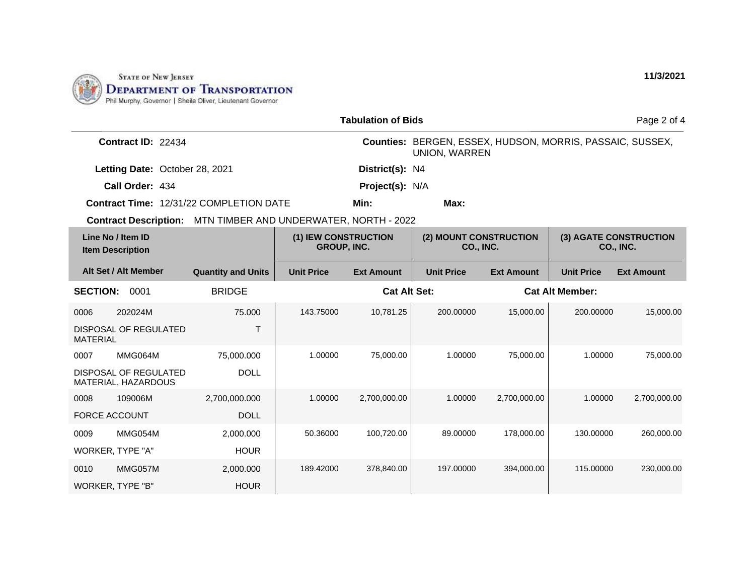

| <b>Tabulation of Bids</b>                                     |                           |                                            |                     |                                                                                   |                   |                        | Page 2 of 4       |
|---------------------------------------------------------------|---------------------------|--------------------------------------------|---------------------|-----------------------------------------------------------------------------------|-------------------|------------------------|-------------------|
| Contract ID: 22434                                            |                           |                                            |                     | Counties: BERGEN, ESSEX, HUDSON, MORRIS, PASSAIC, SUSSEX,<br><b>UNION, WARREN</b> |                   |                        |                   |
| Letting Date: October 28, 2021                                |                           |                                            | District(s): N4     |                                                                                   |                   |                        |                   |
| Call Order: 434                                               |                           |                                            | Project(s): N/A     |                                                                                   |                   |                        |                   |
| Contract Time: 12/31/22 COMPLETION DATE                       |                           |                                            | Min:                | Max:                                                                              |                   |                        |                   |
| Contract Description: MTN TIMBER AND UNDERWATER, NORTH - 2022 |                           |                                            |                     |                                                                                   |                   |                        |                   |
| Line No / Item ID<br><b>Item Description</b>                  |                           | (1) IEW CONSTRUCTION<br><b>GROUP, INC.</b> |                     | (2) MOUNT CONSTRUCTION<br>(3) AGATE CONSTRUCTION<br>CO., INC.<br><b>CO., INC.</b> |                   |                        |                   |
| Alt Set / Alt Member                                          | <b>Quantity and Units</b> | <b>Unit Price</b>                          | <b>Ext Amount</b>   | <b>Unit Price</b>                                                                 | <b>Ext Amount</b> | <b>Unit Price</b>      | <b>Ext Amount</b> |
| <b>SECTION:</b><br>0001                                       | <b>BRIDGE</b>             |                                            | <b>Cat Alt Set:</b> |                                                                                   |                   | <b>Cat Alt Member:</b> |                   |
| 202024M<br>0006                                               | 75.000                    | 143.75000                                  | 10,781.25           | 200.00000                                                                         | 15,000.00         | 200.00000              | 15,000.00         |
| <b>DISPOSAL OF REGULATED</b><br><b>MATERIAL</b>               | $\top$                    |                                            |                     |                                                                                   |                   |                        |                   |
| MMG064M<br>0007                                               | 75,000.000                | 1.00000                                    | 75,000.00           | 1.00000                                                                           | 75,000.00         | 1.00000                | 75,000.00         |
| <b>DISPOSAL OF REGULATED</b><br>MATERIAL, HAZARDOUS           | <b>DOLL</b>               |                                            |                     |                                                                                   |                   |                        |                   |
| 109006M<br>0008                                               | 2,700,000.000             | 1.00000                                    | 2,700,000.00        | 1.00000                                                                           | 2,700,000.00      | 1.00000                | 2,700,000.00      |
| <b>FORCE ACCOUNT</b>                                          | <b>DOLL</b>               |                                            |                     |                                                                                   |                   |                        |                   |
| MMG054M<br>0009                                               | 2,000.000                 | 50.36000                                   | 100,720.00          | 89.00000                                                                          | 178,000.00        | 130.00000              | 260,000.00        |
| WORKER, TYPE "A"                                              | <b>HOUR</b>               |                                            |                     |                                                                                   |                   |                        |                   |
| MMG057M<br>0010                                               | 2,000.000                 | 189.42000                                  | 378,840.00          | 197.00000                                                                         | 394,000.00        | 115.00000              | 230,000.00        |
| WORKER, TYPE "B"                                              | <b>HOUR</b>               |                                            |                     |                                                                                   |                   |                        |                   |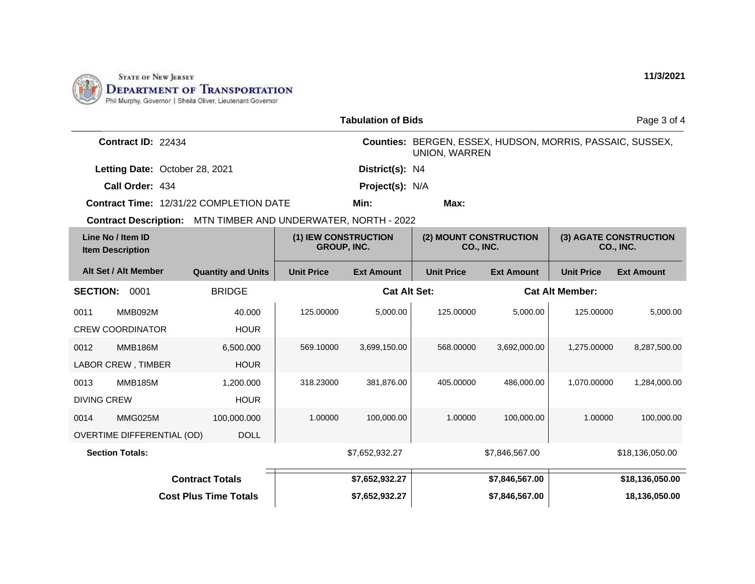

|                                                               |                                            | <b>Tabulation of Bids</b> |                                                                                   |                                     |                        | Page 3 of 4                         |
|---------------------------------------------------------------|--------------------------------------------|---------------------------|-----------------------------------------------------------------------------------|-------------------------------------|------------------------|-------------------------------------|
| Contract ID: 22434                                            |                                            |                           | Counties: BERGEN, ESSEX, HUDSON, MORRIS, PASSAIC, SUSSEX,<br><b>UNION, WARREN</b> |                                     |                        |                                     |
| Letting Date: October 28, 2021                                |                                            | District(s): N4           |                                                                                   |                                     |                        |                                     |
| Call Order: 434                                               |                                            | Project(s): N/A           |                                                                                   |                                     |                        |                                     |
| <b>Contract Time: 12/31/22 COMPLETION DATE</b>                |                                            | Min:                      | Max:                                                                              |                                     |                        |                                     |
| Contract Description: MTN TIMBER AND UNDERWATER, NORTH - 2022 |                                            |                           |                                                                                   |                                     |                        |                                     |
| Line No / Item ID<br><b>Item Description</b>                  | (1) IEW CONSTRUCTION<br><b>GROUP, INC.</b> |                           |                                                                                   | (2) MOUNT CONSTRUCTION<br>CO., INC. |                        | (3) AGATE CONSTRUCTION<br>CO., INC. |
| Alt Set / Alt Member<br><b>Quantity and Units</b>             | <b>Unit Price</b>                          | <b>Ext Amount</b>         | <b>Unit Price</b>                                                                 | <b>Ext Amount</b>                   | <b>Unit Price</b>      | <b>Ext Amount</b>                   |
| <b>BRIDGE</b><br><b>SECTION:</b><br>0001                      |                                            | <b>Cat Alt Set:</b>       |                                                                                   |                                     | <b>Cat Alt Member:</b> |                                     |
| MMB092M<br>0011<br>40.000                                     | 125.00000                                  | 5,000.00                  | 125.00000                                                                         | 5,000.00                            | 125.00000              | 5,000.00                            |
| <b>CREW COORDINATOR</b><br><b>HOUR</b>                        |                                            |                           |                                                                                   |                                     |                        |                                     |
| 0012<br><b>MMB186M</b><br>6,500.000                           | 569.10000                                  | 3,699,150.00              | 568,00000                                                                         | 3,692,000.00                        | 1,275.00000            | 8,287,500.00                        |
| <b>LABOR CREW, TIMBER</b><br><b>HOUR</b>                      |                                            |                           |                                                                                   |                                     |                        |                                     |
| <b>MMB185M</b><br>0013<br>1,200.000                           | 318.23000                                  | 381,876.00                | 405.00000                                                                         | 486,000.00                          | 1,070.00000            | 1,284,000.00                        |
| <b>HOUR</b><br><b>DIVING CREW</b>                             |                                            |                           |                                                                                   |                                     |                        |                                     |
| MMG025M<br>100,000.000<br>0014                                | 1.00000                                    | 100,000.00                | 1.00000                                                                           | 100,000.00                          | 1.00000                | 100,000.00                          |
| <b>OVERTIME DIFFERENTIAL (OD)</b><br><b>DOLL</b>              |                                            |                           |                                                                                   |                                     |                        |                                     |
| <b>Section Totals:</b>                                        |                                            | \$7,652,932.27            |                                                                                   | \$7,846,567.00                      |                        | \$18,136,050.00                     |
| <b>Contract Totals</b>                                        |                                            | \$7,652,932.27            |                                                                                   | \$7,846,567.00                      |                        | \$18,136,050.00                     |
| <b>Cost Plus Time Totals</b>                                  |                                            | \$7,652,932.27            |                                                                                   | \$7,846,567.00                      |                        | 18,136,050.00                       |

**11/3/2021**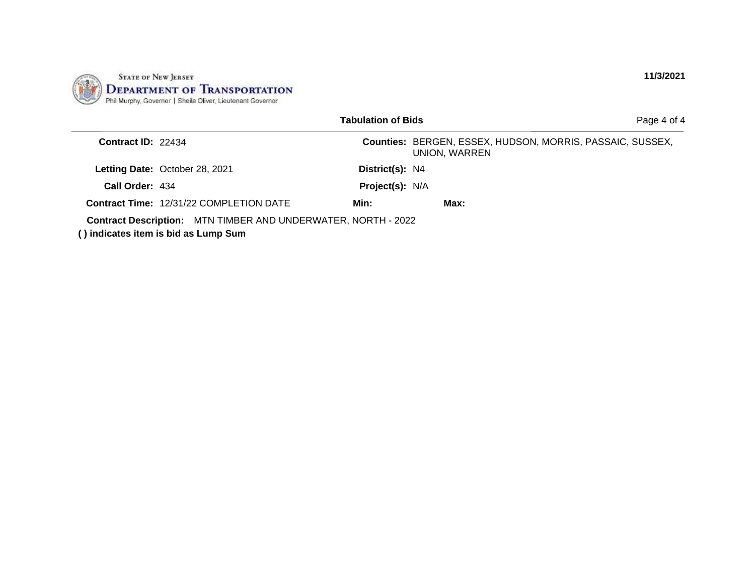

|                    |                                                                                                              | <b>Tabulation of Bids</b> |                                                                            | Page 4 of 4 |
|--------------------|--------------------------------------------------------------------------------------------------------------|---------------------------|----------------------------------------------------------------------------|-------------|
| Contract ID: 22434 |                                                                                                              |                           | Counties: BERGEN, ESSEX, HUDSON, MORRIS, PASSAIC, SUSSEX,<br>UNION, WARREN |             |
|                    | Letting Date: October 28, 2021                                                                               | District(s): N4           |                                                                            |             |
| Call Order: 434    |                                                                                                              | Project(s): N/A           |                                                                            |             |
|                    | <b>Contract Time: 12/31/22 COMPLETION DATE</b>                                                               | Min:                      | Max:                                                                       |             |
|                    | <b>Contract Description:</b> MTN TIMBER AND UNDERWATER, NORTH - 2022<br>() indicates item is bid as Lump Sum |                           |                                                                            |             |